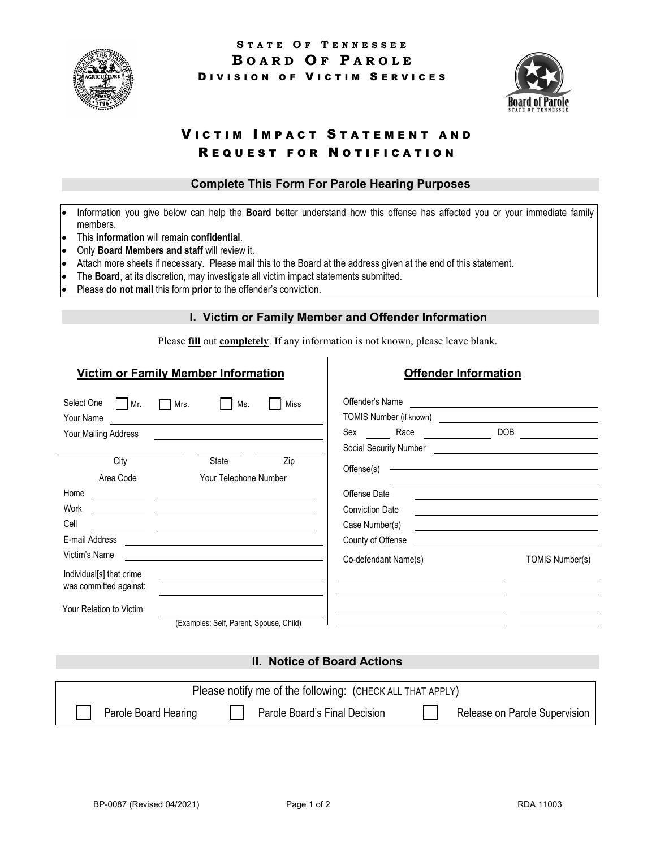



# VICTIM IMPACT STATEMENT AND REQUEST FOR NOTIFICATION

### **Complete This Form For Parole Hearing Purposes**

- Information you give below can help the **Board** better understand how this offense has affected you or your immediate family members.
- This **information** will remain **confidential**.
- Only **Board Members and staff** will review it.
- Attach more sheets if necessary. Please mail this to the Board at the address given at the end of this statement.
- The **Board**, at its discretion, may investigate all victim impact statements submitted.
- Please **do not mail** this form **prior** to the offender's conviction.

#### **I. Victim or Family Member and Offender Information**

Please **fill** out **completely**. If any information is not known, please leave blank.

# **Victim or Family Member Information**

# **Offender Information**

| Select One<br>Mr.<br>Your Name                     | Miss<br>Mrs.<br>Ms.                                                                                                   | Offender's Name<br>TOMIS Number (if known)                                                                                              |  |  |
|----------------------------------------------------|-----------------------------------------------------------------------------------------------------------------------|-----------------------------------------------------------------------------------------------------------------------------------------|--|--|
| Your Mailing Address                               |                                                                                                                       | <b>DOB</b><br>Sex<br>Race                                                                                                               |  |  |
|                                                    |                                                                                                                       | Social Security Number                                                                                                                  |  |  |
| City                                               | Zip<br><b>State</b>                                                                                                   | Offense(s)                                                                                                                              |  |  |
| Area Code                                          | Your Telephone Number                                                                                                 |                                                                                                                                         |  |  |
| Home                                               | <u> 1989 - John Stein, mars and der Stein and der Stein and der Stein and der Stein and der Stein and der Stein a</u> | Offense Date                                                                                                                            |  |  |
| Work                                               |                                                                                                                       | <b>Conviction Date</b>                                                                                                                  |  |  |
| Cell                                               |                                                                                                                       | Case Number(s)<br><u> 1989 - Johann Harry Harry Harry Harry Harry Harry Harry Harry Harry Harry Harry Harry Harry Harry Harry Harry</u> |  |  |
| E-mail Address                                     |                                                                                                                       | County of Offense                                                                                                                       |  |  |
| Victim's Name                                      |                                                                                                                       | Co-defendant Name(s)<br>TOMIS Number(s)                                                                                                 |  |  |
| Individual[s] that crime<br>was committed against: |                                                                                                                       |                                                                                                                                         |  |  |
| Your Relation to Victim                            |                                                                                                                       |                                                                                                                                         |  |  |
|                                                    | (Examples: Self, Parent, Spouse, Child)                                                                               |                                                                                                                                         |  |  |

### **II. Notice of Board Actions**